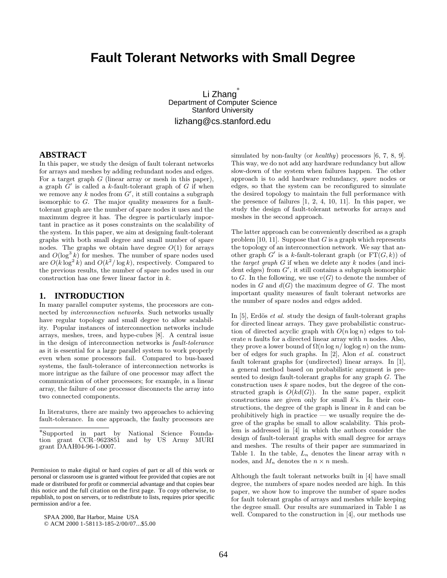# **Fault Tolerant Networks with Small Degree**

Li Zhang Department of Computer Science Stanford University lizhang@cs.stanford.edu

## **ABSTRACT**

In this paper, we study the design of fault tolerant networks for arrays and meshes by adding redundant nodes and edges. For a target graph  $G$  (linear array or mesh in this paper), a graph  $G'$  is called a k-fault-tolerant graph of G if when we remove any k nodes from  $G'$ , it still contains a subgraph isomorphic to G. The major quality measures for a faulttolerant graph are the number of spare nodes it uses and the maximum degree it has. The degree is particularly important in practice as it poses constraints on the scalability of the system. In this paper, we aim at designing fault-tolerant graphs with both small degree and small number of spare nodes. The graphs we obtain have degree  $O(1)$  for arrays and  $O(\log^3 k)$  for meshes. The number of spare nodes used are  $O(k \log^2 k)$  and  $O(k^2/\log k)$ , respectively. Compared to the previous results, the number of spare nodes used in our construction has one fewer linear factor in k.

## **1. INTRODUCTION**

In many parallel computer systems, the processors are connected by interconnection networks. Such networks usually have regular topology and small degree to allow scalability. Popular instances of interconnection networks include arrays, meshes, trees, and hype-cubes [8]. A central issue in the design of interconnection networks is fault-tolerance as it is essential for a large parallel system to work properly even when some processors fail. Compared to bus-based systems, the fault-tolerance of interconnection networks is more intrigue as the failure of one processor may affect the communication of other processors; for example, in a linear array, the failure of one processor disconnects the array into two connected components.

In literatures, there are mainly two approaches to achieving fault-tolerance. In one approach, the faulty processors are

∗Supported in part by National Science Foundation grant CCR–9623851 and by US Army MURI grant DAAH04-96-1-0007.

Permission to make digital or hard copies of part or all of this work or personal or classroom use is granted without fee provided that copies are not made or distributed for profit or commercial advantage and that copies bear this notice and the full citation on the first page. To copy otherwise, to republish, to post on servers, or to redistribute to lists, requires prior specific permission and/or a fee.

SPAA 2000, Bar Harbor, Maine USA © ACM 2000 1-58113-185-2/00/07...\$5.00 simulated by non-faulty (or *healthy*) processors [6, 7, 8, 9]. This way, we do not add any hardware redundancy but allow slow-down of the system when failures happen. The other approach is to add hardware redundancy, spare nodes or edges, so that the system can be reconfigured to simulate the desired topology to maintain the full performance with the presence of failures [1, 2, 4, 10, 11]. In this paper, we study the design of fault-tolerant networks for arrays and meshes in the second approach.

The latter approach can be conveniently described as a graph problem  $[10, 11]$ . Suppose that G is a graph which represents the topology of an interconnection network. We say that another graph  $G'$  is a k-fault-tolerant graph (or  $FT(G, k)$ ) of the target graph  $G$  if when we delete any  $k$  nodes (and incident edges) from  $G'$ , it still contains a subgraph isomorphic to G. In the following, we use  $v(G)$  to denote the number of nodes in  $G$  and  $d(G)$  the maximum degree of  $G$ . The most important quality measures of fault tolerant networks are the number of spare nodes and edges added.

In  $[5]$ , Erdös *et al.* study the design of fault-tolerant graphs for directed linear arrays. They gave probabilistic construction of directed acyclic graph with  $O(n \log n)$  edges to tolerate  $n$  faults for a directed linear array with  $n$  nodes. Also, they prove a lower bound of  $\Omega(n \log n / \log \log n)$  on the number of edges for such graphs. In [2], Alon et al. construct fault tolerant graphs for (undirected) linear arrays. In [1], a general method based on probabilistic argument is presented to design fault-tolerant graphs for any graph G. The construction uses  $k$  spare nodes, but the degree of the constructed graph is  $O(kd(G))$ . In the same paper, explicit constructions are given only for small  $k$ 's. In their constructions, the degree of the graph is linear in  $k$  and can be prohibitively high in practice — we usually require the degree of the graphs be small to allow scalability. This problem is addressed in [4] in which the authors consider the design of fault-tolerant graphs with small degree for arrays and meshes. The results of their paper are summarized in Table 1. In the table,  $L_n$  denotes the linear array with  $n$ nodes, and  $M_n$  denotes the  $n \times n$  mesh.

Although the fault tolerant networks built in [4] have small degree, the numbers of spare nodes needed are high. In this paper, we show how to improve the number of spare nodes for fault tolerant graphs of arrays and meshes while keeping the degree small. Our results are summarized in Table 1 as well. Compared to the construction in [4], our methods use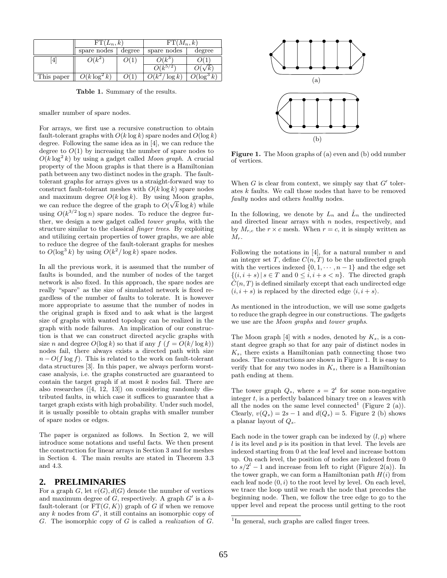|            | $FT(L_n,k)$     |        | $FT(M_n,k)$       |        |
|------------|-----------------|--------|-------------------|--------|
|            | spare nodes     | degree | spare nodes       | degree |
| Έ.         | $O(k^2)$        |        | $\sim$            |        |
|            |                 |        |                   |        |
| This paper | $O(k \log^2 k)$ |        | $h^2$<br>$\log k$ |        |

**Table 1.** Summary of the results.

smaller number of spare nodes.

For arrays, we first use a recursive construction to obtain fault-tolerant graphs with  $O(k \log k)$  spare nodes and  $O(\log k)$ degree. Following the same idea as in [4], we can reduce the degree to  $O(1)$  by increasing the number of spare nodes to  $O(k \log^2 k)$  by using a gadget called Moon graph. A crucial property of the Moon graphs is that there is a Hamiltonian path between any two distinct nodes in the graph. The faulttolerant graphs for arrays gives us a straight-forward way to construct fault-tolerant meshes with  $O(k \log k)$  spare nodes and maximum degree  $O(k \log k)$ . By using Moon graphs, and maximum degree  $O(k \log k)$ . By using Moon graphs,<br>we can reduce the degree of the graph to  $O(\sqrt{k} \log k)$  while using  $O(k^{3/2} \log n)$  spare nodes. To reduce the degree further, we design a new gadget called tower graphs, with the structure similar to the classical finger trees. By exploiting and utilizing certain properties of tower graphs, we are able to reduce the degree of the fault-tolerant graphs for meshes to  $O(\log^3 k)$  by using  $O(k^2/\log k)$  spare nodes.

In all the previous work, it is assumed that the number of faults is bounded, and the number of nodes of the target network is also fixed. In this approach, the spare nodes are really "spare" as the size of simulated network is fixed regardless of the number of faults to tolerate. It is however more appropriate to assume that the number of nodes in the original graph is fixed and to ask what is the largest size of graphs with wanted topology can be realized in the graph with node failures. An implication of our construction is that we can construct directed acyclic graphs with size n and degree  $O(\log k)$  so that if any  $f(f = O(k/\log k))$ nodes fail, there always exists a directed path with size  $n - O(f \log f)$ . This is related to the work on fault-tolerant data structures [3]. In this paper, we always perform worstcase analysis, i.e. the graphs constructed are guaranteed to contain the target graph if at most  $k$  nodes fail. There are also researches ([4, 12, 13]) on considering randomly distributed faults, in which case it suffices to guarantee that a target graph exists with high probability. Under such model, it is usually possible to obtain graphs with smaller number of spare nodes or edges.

The paper is organized as follows. In Section 2, we will introduce some notations and useful facts. We then present the construction for linear arrays in Section 3 and for meshes in Section 4. The main results are stated in Theorem 3.3 and 4.3.

## **2. PRELIMINARIES**

For a graph G, let  $v(G)$ ,  $d(G)$  denote the number of vertices and maximum degree of G, respectively. A graph  $G'$  is a kfault-tolerant (or  $FT(G, K)$ ) graph of G if when we remove any k nodes from  $G'$ , it still contains an isomorphic copy of G. The isomorphic copy of G is called a realization of G.



**Figure 1.** The Moon graphs of (a) even and (b) odd number of vertices.

When G is clear from context, we simply say that  $G'$  tolerates k faults. We call those nodes that have to be removed faulty nodes and others healthy nodes.

In the following, we denote by  $L_n$  and  $\hat{L}_n$  the undirected and directed linear arrays with  $n$  nodes, respectively, and by  $M_{r,c}$  the  $r \times c$  mesh. When  $r = c$ , it is simply written as  $M_r$ .

Following the notations in [4], for a natural number  $n$  and an integer set T, define  $C(n,T)$  to be the undirected graph with the vertices indexed  $\{0, 1, \cdots, n-1\}$  and the edge set  $\{(i, i+s) \mid s \in T \text{ and } 0 \leq i, i+s < n\}.$  The directed graph  $\tilde{C}(n,T)$  is defined similarly except that each undirected edge  $(i, i + s)$  is replaced by the directed edge  $\langle i, i + s \rangle$ .

As mentioned in the introduction, we will use some gadgets to reduce the graph degree in our constructions. The gadgets we use are the Moon graphs and tower graphs.

The Moon graph  $[4]$  with s nodes, denoted by  $K_s$ , is a constant degree graph so that for any pair of distinct nodes in  $K_s$ , there exists a Hamiltonian path connecting those two nodes. The constructions are shown in Figure 1. It is easy to verify that for any two nodes in  $K_s$ , there is a Hamiltonian path ending at them.

The tower graph  $Q_s$ , where  $s = 2^t$  for some non-negative integer  $t$ , is a perfectly balanced binary tree on  $s$  leaves with all the nodes on the same level connected<sup>1</sup> (Figure 2 (a)). Clearly,  $v(Q_s) = 2s - 1$  and  $d(Q_s) = 5$ . Figure 2 (b) shows a planar layout of  $Q_s$ .

Each node in the tower graph can be indexed by  $(l, p)$  where  $l$  is its level and  $p$  is its position in that level. The levels are indexed starting from 0 at the leaf level and increase bottom up. On each level, the position of nodes are indexed from 0 to  $s/2^l - 1$  and increase from left to right (Figure 2(a)). In the tower graph, we can form a Hamiltonian path  $H(i)$  from each leaf node  $(0, i)$  to the root level by level. On each level, we trace the loop until we reach the node that precedes the beginning node. Then, we follow the tree edge to go to the upper level and repeat the process until getting to the root

<sup>&</sup>lt;sup>1</sup>In general, such graphs are called finger trees.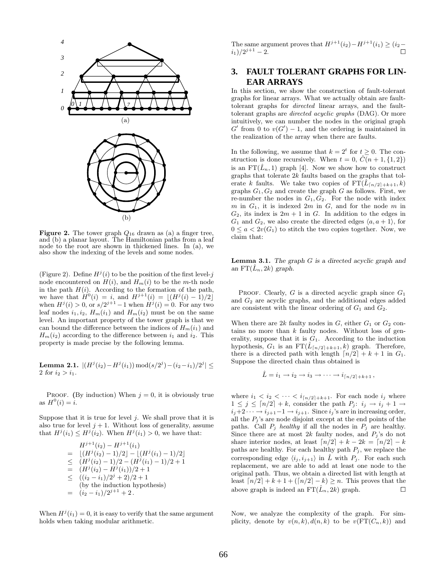

**Figure 2.** The tower graph  $Q_{16}$  drawn as (a) a finger tree, and (b) a planar layout. The Hamiltonian paths from a leaf node to the root are shown in thickened lines. In (a), we also show the indexing of the levels and some nodes.

(Figure 2). Define  $H^j(i)$  to be the position of the first level- $j$ node encountered on  $H(i)$ , and  $H_m(i)$  to be the m-th node in the path  $H(i)$ . According to the formation of the path, we have that  $H^0(i) = i$ , and  $H^{j+1}(i) = |(H^j(i) - 1)/2|$ when  $H^{j}(i) > 0$ , or  $s/2^{j+1} - 1$  when  $H^{j}(i) = 0$ . For any two leaf nodes  $i_1, i_2, H_m(i_1)$  and  $H_m(i_2)$  must be on the same level. An important property of the tower graph is that we can bound the difference between the indices of  $H_m(i_1)$  and  $H_m(i_2)$  according to the difference between  $i_1$  and  $i_2$ . This property is made precise by the following lemma.

**Lemma 2.1.** 
$$
|(H^j(i_2)-H^j(i_1)) \mod (s/2^j)-(i_2-i_1)/2^j| \leq
$$
2 for  $i_2 > i_1$ .

PROOF. (By induction) When  $j = 0$ , it is obviously true as  $H^{0}(i) = i$ .

Suppose that it is true for level  $j$ . We shall prove that it is also true for level  $j + 1$ . Without loss of generality, assume that  $H^j(i_1) \leq H^j(i_2)$ . When  $H^j(i_1) > 0$ , we have that:

$$
H^{j+1}(i_2) - H^{j+1}(i_1)
$$
  
= 
$$
[(H^j(i_2) - 1)/2] - [(H^j(i_1) - 1)/2]
$$
  

$$
\leq (H^j(i_2) - 1)/2 - (H^j(i_1) - 1)/2 + 1
$$
  
= 
$$
(H^j(i_2) - H^j(i_1))/2 + 1
$$
  

$$
\leq ((i_2 - i_1)/2^j + 2)/2 + 1
$$
  
(by the induction hypothesis)  
= 
$$
(i_2 - i_1)/2^{j+1} + 2.
$$

When  $H^j(i_1) = 0$ , it is easy to verify that the same argument holds when taking modular arithmetic.

The same argument proves that  $H^{j+1}(i_2)-H^{j+1}(i_1) \geq (i_2-\dots+i_d)$  $(i_1)/2^{j+1}$  – 2.

## **3. FAULT TOLERANT GRAPHS FOR LIN-EAR ARRAYS**

In this section, we show the construction of fault-tolerant graphs for linear arrays. What we actually obtain are faulttolerant graphs for directed linear arrays, and the faulttolerant graphs are directed acyclic graphs (DAG). Or more intuitively, we can number the nodes in the original graph  $G'$  from 0 to  $v(G') - 1$ , and the ordering is maintained in the realization of the array when there are faults.

In the following, we assume that  $k = 2^t$  for  $t \geq 0$ . The construction is done recursively. When  $t = 0$ ,  $\ddot{C}(n+1, \{1, 2\})$ is an  $FT(\hat{L}_n, 1)$  graph [4]. Now we show how to construct graphs that tolerate 2k faults based on the graphs that tolerate k faults. We take two copies of  $\operatorname{FT}(\hat{L}_{\lceil n/2 \rceil + k + 1}, k)$ graphs  $G_1, G_2$  and create the graph G as follows. First, we re-number the nodes in  $G_1, G_2$ . For the node with index m in  $G_1$ , it is indexed  $2m$  in  $G$ , and for the node m in  $G_2$ , its index is  $2m + 1$  in G. In addition to the edges in  $G_1$  and  $G_2$ , we also create the directed edges  $\langle a, a+1 \rangle$ , for  $0 \le a < 2v(G_1)$  to stitch the two copies together. Now, we claim that:

**Lemma 3.1.** *The graph* G *is a directed acyclic graph and* an  $FT(L_n, 2k)$  *graph.* 

PROOF. Clearly, G is a directed acyclic graph since  $G_1$ and G<sup>2</sup> are acyclic graphs, and the additional edges added are consistent with the linear ordering of  $G_1$  and  $G_2$ .

When there are  $2k$  faulty nodes in  $G$ , either  $G_1$  or  $G_2$  contains no more than  $k$  faulty nodes. Without loss of generality, suppose that it is  $G_1$ . According to the induction hypothesis,  $G_1$  is an  $FT(\hat{L}_{\lceil n/2 \rceil + k+1}, k)$  graph. Therefore, there is a directed path with length  $\lceil n/2 \rceil + k + 1$  in  $G_1$ . Suppose the directed chain thus obtained is

$$
\hat{L} = i_1 \rightarrow i_2 \rightarrow i_3 \rightarrow \cdots \rightarrow i_{\lceil n/2 \rceil + k + 1},
$$

where  $i_1 < i_2 < \cdots < i_{\lceil n/2 \rceil + k + 1}$ . For each node  $i_j$  where  $1 \leq j \leq \lceil n/2 \rceil + k$ , consider the path  $P_j$ :  $i_j \rightarrow i_j + 1 \rightarrow$  $i_j+2\cdots \rightarrow i_{j+1}-1 \rightarrow i_{j+1}$ . Since  $i_j$ 's are in increasing order, all the  $P_j$ 's are node disjoint except at the end points of the paths. Call  $P_j$  healthy if all the nodes in  $P_j$  are healthy. Since there are at most  $2k$  faulty nodes, and  $P_j$ 's do not share interior nodes, at least  $\lceil n/2 \rceil + k - 2k = \lceil n/2 \rceil - k$ paths are healthy. For each healthy path  $P_j$ , we replace the corresponding edge  $\langle i_j, i_{j+1} \rangle$  in  $\hat{L}$  with  $P_j$ . For each such replacement, we are able to add at least one node to the original path. Thus, we obtain a directed list with length at least  $\lceil n/2 \rceil + k + 1 + (\lceil n/2 \rceil - k) \geq n$ . This proves that the above graph is indeed an  $FT(\hat{L}_n, 2k)$  graph.  $\Box$ 

Now, we analyze the complexity of the graph. For simplicity, denote by  $v(n, k), d(n, k)$  to be  $v(\text{FT}(C_n, k))$  and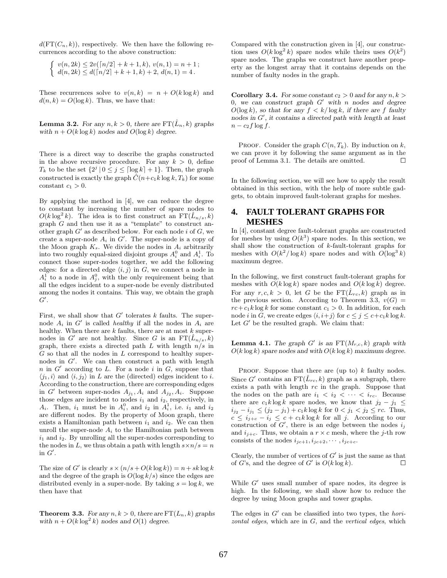$d(\text{FT}(C_n, k))$ , respectively. We then have the following recurrences according to the above construction:

$$
\begin{cases} v(n,2k) \le 2v(\lceil n/2 \rceil + k + 1, k), v(n,1) = n + 1; \\ d(n,2k) \le d(\lceil n/2 \rceil + k + 1, k) + 2, d(n,1) = 4. \end{cases}
$$

These recurrences solve to  $v(n, k) = n + O(k \log k)$  and  $d(n, k) = O(\log k)$ . Thus, we have that:

**Lemma 3.2.** *For any*  $n, k > 0$ *, there are*  $FT(\hat{L}_n, k)$  *graphs* with  $n + O(k \log k)$  *nodes and*  $O(\log k)$  *degree.* 

There is a direct way to describe the graphs constructed in the above recursive procedure. For any  $k > 0$ , define  $T_k$  to be the set  $\{2^j | 0 \le j \le \lceil \log k \rceil + 1\}$ . Then, the graph constructed is exactly the graph  $\hat{C}(n+c_1k\log k, T_k)$  for some constant  $c_1 > 0$ .

By applying the method in [4], we can reduce the degree to constant by increasing the number of spare nodes to  $O(k \log^2 k)$ . The idea is to first construct an  $FT(\hat{L}_{n/s}, k)$ graph G and then use it as a "template" to construct another graph  $G'$  as described below. For each node i of G, we create a super-node  $A_i$  in  $G'$ . The super-node is a copy of the Moon graph  $K_s$ . We divide the nodes in  $A_i$  arbitrarily into two roughly equal-sized disjoint groups  $A_i^0$  and  $A_i^1$ . To connect those super-nodes together, we add the following edges: for a directed edge  $\langle i, j \rangle$  in G, we connect a node in  $A_i^{\mathsf{T}}$  to a node in  $A_j^{\mathsf{0}}$ , with the only requirement being that all the edges incident to a super-node be evenly distributed among the nodes it contains. This way, we obtain the graph  $G^{\prime}.$ 

First, we shall show that  $G'$  tolerates k faults. The supernode  $A_i$  in G' is called *healthy* if all the nodes in  $A_i$  are healthy. When there are  $k$  faults, there are at most  $k$  supernodes in G' are not healthy. Since G is an  $FT(\hat{L}_{n/s}, k)$ graph, there exists a directed path L with length  $n/s$  in  $G$  so that all the nodes in  $L$  correspond to healthy supernodes in G . We can then construct a path with length  $n$  in  $G'$  according to L. For a node i in  $G$ , suppose that  $\langle j_1, i \rangle$  and  $\langle i, j_2 \rangle$  in L are the (directed) edges incident to i. According to the construction, there are corresponding edges in G' between super-nodes  $A_{j_1}, A_i$  and  $A_{j_2}, A_i$ . Suppose those edges are incident to nodes  $i_1$  and  $i_2$ , respectively, in  $A_i$ . Then,  $i_1$  must be in  $A_i^0$ , and  $i_2$  in  $A_i^1$ , i.e.  $i_1$  and  $i_2$ are different nodes. By the property of Moon graph, there exists a Hamiltonian path between  $i_1$  and  $i_2$ . We can then unroll the super-node  $A_i$  to the Hamiltonian path between  $i_1$  and  $i_2$ . By unrolling all the super-nodes corresponding to the nodes in L, we thus obtain a path with length  $s \times n/s = n$ in  $G'$ .

The size of G' is clearly  $s \times (n/s + O(k \log k)) = n + sk \log k$ and the degree of the graph is  $O(\log k/s)$  since the edges are distributed evenly in a super-node. By taking  $s = \log k$ , we then have that

**Theorem 3.3.** *For any*  $n, k > 0$ *, there are*  $FT(L_n, k)$  *graphs with*  $n + O(k \log^2 k)$  *nodes and*  $O(1)$  *degree.* 

Compared with the construction given in [4], our construction uses  $O(k \log^2 k)$  spare nodes while theirs uses  $O(k^2)$ spare nodes. The graphs we construct have another property as the longest array that it contains depends on the number of faulty nodes in the graph.

**Corollary 3.4.** *For some constant*  $c_2 > 0$  *and for any*  $n, k > 0$ 0, we can construct graph  $G'$  with n nodes and degree  $O(\log k)$ *, so that for any*  $f < k/\log k$ *, if there are f faulty nodes in* G *, it contains a directed path with length at least*  $n - c_2 f \log f$ .

PROOF. Consider the graph  $C(n, T_k)$ . By induction on k, we can prove it by following the same argument as in the proof of Lemma 3.1. The details are omitted.

In the following section, we will see how to apply the result obtained in this section, with the help of more subtle gadgets, to obtain improved fault-tolerant graphs for meshes.

## **4. FAULT TOLERANT GRAPHS FOR MESHES**

In [4], constant degree fault-tolerant graphs are constructed for meshes by using  $O(k^3)$  spare nodes. In this section, we shall show the construction of k-fault-tolerant graphs for meshes with  $O(k^2/\log k)$  spare nodes and with  $O(\log^3 k)$ maximum degree.

In the following, we first construct fault-tolerant graphs for meshes with  $O(k \log k)$  spare nodes and  $O(k \log k)$  degree. For any  $r, c, k > 0$ , let G be the  $FT(\hat{L}_{rc}, k)$  graph as in the previous section. According to Theorem 3.3,  $v(G)$  =  $rc+c_1k\log k$  for some constant  $c_1 > 0$ . In addition, for each node i in G, we create edges  $\langle i, i+j \rangle$  for  $c \leq j \leq c+c_1k \log k$ . Let  $G'$  be the resulted graph. We claim that:

**Lemma 4.1.** *The graph*  $G'$  *is an*  $FT(M_{r,c}, k)$  *graph with*  $O(k \log k)$  *spare nodes and with*  $O(k \log k)$  *maximum degree.* 

PROOF. Suppose that there are (up to)  $k$  faulty nodes. Since G' contains an  $FT(\tilde{L}_{rc}, k)$  graph as a subgraph, there exists a path with length  $rc$  in the graph. Suppose that the nodes on the path are  $i_1 < i_2 < \cdots < i_{rc}$ . Because there are  $c_1k\log k$  spare nodes, we know that  $j_2 - j_1$  $i_{j_2}$  −  $i_{j_1}$  ≤  $(j_2 - j_1)$  +  $c_1k \log k$  for  $0 < j_1 < j_2$  ≤  $rc$ . Thus,  $c \leq i_{j+c} - i_j \leq c + c_1 k \log k$  for all j. According to our construction of  $G'$ , there is an edge between the nodes  $i_j$ and  $i_{j+c}$ . Thus, we obtain a  $r \times c$  mesh, where the j-th row consists of the nodes  $i_{jc+1}, i_{jc+2}, \cdots, i_{jc+c}$ .

Clearly, the number of vertices of  $G'$  is just the same as that of G's, and the degree of G' is  $O(k \log k)$ .

While  $G'$  uses small number of spare nodes, its degree is high. In the following, we shall show how to reduce the degree by using Moon graphs and tower graphs.

The edges in  $G'$  can be classified into two types, the *hori*zontal edges, which are in G, and the vertical edges, which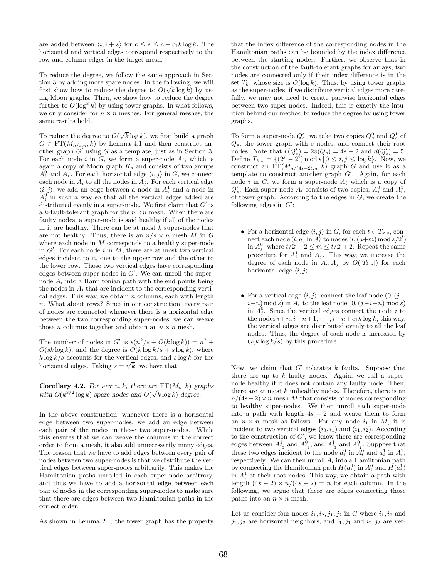are added between  $\langle i, i + s \rangle$  for  $c \leq s \leq c + c_1 k \log k$ . The horizontal and vertical edges correspond respectively to the row and column edges in the target mesh.

To reduce the degree, we follow the same approach in Section 3 by adding more spare nodes. In the following, we will tion 3 by adding more spare nodes. In the following, we will<br>first show how to reduce the degree to  $O(\sqrt{k} \log k)$  by using Moon graphs. Then, we show how to reduce the degree further to  $O(\log^3 k)$  by using tower graphs. In what follows, we only consider for  $n \times n$  meshes. For general meshes, the same results hold.

To reduce the degree to  $O(\sqrt{k} \log k)$ , we first build a graph  $G \in \mathrm{FT}(M_{n/s,n}, k)$  by Lemma 4.1 and then construct another graph  $G'$  using G as a template, just as in Section 3. For each node i in  $G$ , we form a super-node  $A_i$ , which is again a copy of Moon graph  $K_s$  and consists of two groups  $A_i^0$  and  $A_i^1$ . For each horizontal edge  $\langle i, j \rangle$  in G, we connect each node in  $A_i$  to all the nodes in  $A_i$ . For each vertical edge  $\langle i, j \rangle$ , we add an edge between a node in  $A_i^1$  and a node in  $A_j^0$  in such a way so that all the vertical edges added are distributed evenly in a super-node. We first claim that  $G'$  is a k-fault-tolerant graph for the  $n \times n$  mesh. When there are faulty nodes, a super-node is said healthy if all of the nodes in it are healthy. There can be at most  $k$  super-nodes that are not healthy. Thus, there is an  $n/s \times n$  mesh M in G where each node in M corresponds to a healthy super-node in  $G'$ . For each node i in M, there are at most two vertical edges incident to it, one to the upper row and the other to the lower row. Those two vertical edges have corresponding edges between super-nodes in  $G'$ . We can unroll the supernode  $A_i$  into a Hamiltonian path with the end points being the nodes in  $A_i$  that are incident to the corresponding vertical edges. This way, we obtain  $n$  columns, each with length n. What about rows? Since in our construction, every pair of nodes are connected whenever there is a horizontal edge between the two corresponding super-nodes, we can weave those *n* columns together and obtain an  $n \times n$  mesh.

The number of nodes in G' is  $s(n^2/s + O(k \log k)) = n^2 +$  $O(sk \log k)$ , and the degree is  $O(k \log k/s + s \log k)$ , where  $k \log k/s$  accounts for the vertical edges, and  $s \log k$  for the horizontal edges. Taking  $s = \sqrt{k}$ , we have that

**Corollary 4.2.** *For any*  $n, k$ *, there are*  $FT(M_n, k)$  *graphs* **Coronary 4.2.** For any  $n, \kappa$ , there are  $\Gamma$   $(\mathcal{M}_n, \kappa)$  given with  $O(k^{3/2} \log k)$  spare nodes and  $O(\sqrt{k} \log k)$  degree.

In the above construction, whenever there is a horizontal edge between two super-nodes, we add an edge between each pair of the nodes in those two super-nodes. While this ensures that we can weave the columns in the correct order to form a mesh, it also add unnecessarily many edges. The reason that we have to add edges between every pair of nodes between two super-nodes is that we distribute the vertical edges between super-nodes arbitrarily. This makes the Hamiltonian paths unrolled in each super-node arbitrary, and thus we have to add a horizontal edge between each pair of nodes in the corresponding super-nodes to make sure that there are edges between two Hamiltonian paths in the correct order.

As shown in Lemma 2.1, the tower graph has the property

that the index difference of the corresponding nodes in the Hamiltonian paths can be bounded by the index difference between the starting nodes. Further, we observe that in the construction of the fault-tolerant graphs for arrays, two nodes are connected only if their index difference is in the set  $T_k$ , whose size is  $O(\log k)$ . Thus, by using tower graphs as the super-nodes, if we distribute vertical edges more carefully, we may not need to create pairwise horizontal edges between two super-nodes. Indeed, this is exactly the intuition behind our method to reduce the degree by using tower graphs.

To form a super-node  $Q'_s$ , we take two copies  $Q_s^0$  and  $Q_s^1$  of  $Q_s$ , the tower graph with s nodes, and connect their root nodes. Note that  $v(Q'_s) = 2v(Q_s) = 4s - 2$  and  $d(Q'_s) = 5$ . Define  $T_{k,s} = \{(2^j - 2^i) \mod s \mid 0 \le i, j \le \log k\}.$  Now, we construct an  $FT(M_{n/(4s-2),n},k)$  graph G and use it as a template to construct another graph G . Again, for each node i in  $G$ , we form a super-node  $A_i$  which is a copy of  $Q'_s$ . Each super-node  $A_i$  consists of two copies,  $A_i^0$  and  $A_i^1$ , of tower graph. According to the edges in  $G$ , we create the following edges in  $G'$ :

- For a horizontal edge  $\langle i, j \rangle$  in G, for each  $t \in T_{k,s}$ , connect each node  $(l, a)$  in  $A_i^0$  to nodes  $(l, (a+m) \text{ mod } s/2^l)$ in  $A_j^0$ , where  $t/2^l - 2 \le m \le t/2^l + 2$ . Repeat the same procedure for  $A_i^1$  and  $A_j^1$ . This way, we increase the degree of each node in  $A_i, A_j$  by  $O(|T_{k,s}|)$  for each horizontal edge  $\langle i, j \rangle$ .
- For a vertical edge  $\langle i, j \rangle$ , connect the leaf node  $(0, (j (i-n) \mod s$  in  $A_i^1$  to the leaf node  $(0, (j-i-n) \mod s)$ in  $A_j^0$ . Since the vertical edges connect the node i to the nodes  $i+n, i+n+1, \cdots, i+n+c_1k \log k$ , this way, the vertical edges are distributed evenly to all the leaf nodes. Thus, the degree of each node is increased by  $O(k \log k/s)$  by this procedure.

Now, we claim that  $G'$  tolerates k faults. Suppose that there are up to  $k$  faulty nodes. Again, we call a supernode healthy if it does not contain any faulty node. Then, there are at most  $k$  unhealthy nodes. Therefore, there is an  $n/(4s-2) \times n$  mesh M that consists of nodes corresponding to healthy super-nodes. We then unroll each super-node into a path with length  $4s - 2$  and weave them to form an  $n \times n$  mesh as follows. For any node  $i_1$  in M, it is incident to two vertical edges  $(i_0, i_1)$  and  $(i_1, i_2)$ . According to the construction of  $G'$ , we know there are corresponding edges between  $A_{i_0}^1$  and  $A_{i_1}^0$ , and  $A_{i_1}^1$  and  $A_{i_2}^0$ . Suppose that these two edges incident to the node  $a_i^0$  in  $A_i^0$  and  $a_i^1$  in  $A_i^1$ , respectively. We can then unroll  $A_i$  into a Hamiltonian path by connecting the Hamiltonian path  $H(a_i^0)$  in  $A_i^0$  and  $H(a_i^1)$ in  $A_i^1$  at their root nodes. This way, we obtain a path with length  $(4s - 2) \times n/(4s - 2) = n$  for each column. In the following, we argue that there are edges connecting those paths into an  $n \times n$  mesh.

Let us consider four nodes  $i_1, i_2, j_1, j_2$  in G where  $i_1, i_2$  and  $j_1, j_2$  are horizontal neighbors, and  $i_1, j_1$  and  $i_2, j_2$  are ver